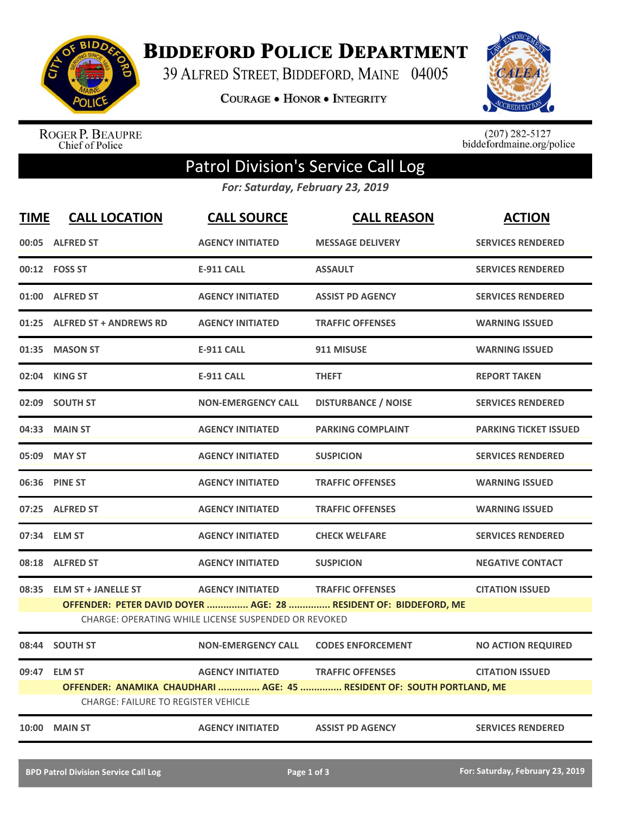

**BIDDEFORD POLICE DEPARTMENT** 

39 ALFRED STREET, BIDDEFORD, MAINE 04005

**COURAGE . HONOR . INTEGRITY** 



ROGER P. BEAUPRE<br>Chief of Police

 $(207)$  282-5127<br>biddefordmaine.org/police

## Patrol Division's Service Call Log

*For: Saturday, February 23, 2019*

| <b>TIME</b> | <b>CALL LOCATION</b>                                                                                                                                                                                                                  | <b>CALL SOURCE</b>        | <b>CALL REASON</b>         | <b>ACTION</b>                |  |
|-------------|---------------------------------------------------------------------------------------------------------------------------------------------------------------------------------------------------------------------------------------|---------------------------|----------------------------|------------------------------|--|
|             | 00:05 ALFRED ST                                                                                                                                                                                                                       | <b>AGENCY INITIATED</b>   | <b>MESSAGE DELIVERY</b>    | <b>SERVICES RENDERED</b>     |  |
|             | 00:12    FOSS ST                                                                                                                                                                                                                      | <b>E-911 CALL</b>         | <b>ASSAULT</b>             | <b>SERVICES RENDERED</b>     |  |
|             | 01:00 ALFRED ST                                                                                                                                                                                                                       | <b>AGENCY INITIATED</b>   | <b>ASSIST PD AGENCY</b>    | <b>SERVICES RENDERED</b>     |  |
| 01:25       | <b>ALFRED ST + ANDREWS RD</b>                                                                                                                                                                                                         | <b>AGENCY INITIATED</b>   | <b>TRAFFIC OFFENSES</b>    | <b>WARNING ISSUED</b>        |  |
|             | 01:35 MASON ST                                                                                                                                                                                                                        | <b>E-911 CALL</b>         | 911 MISUSE                 | <b>WARNING ISSUED</b>        |  |
|             | 02:04 KING ST                                                                                                                                                                                                                         | <b>E-911 CALL</b>         | <b>THEFT</b>               | <b>REPORT TAKEN</b>          |  |
|             | 02:09 SOUTH ST                                                                                                                                                                                                                        | <b>NON-EMERGENCY CALL</b> | <b>DISTURBANCE / NOISE</b> | <b>SERVICES RENDERED</b>     |  |
|             | 04:33 MAIN ST                                                                                                                                                                                                                         | <b>AGENCY INITIATED</b>   | <b>PARKING COMPLAINT</b>   | <b>PARKING TICKET ISSUED</b> |  |
|             | 05:09 MAY ST                                                                                                                                                                                                                          | <b>AGENCY INITIATED</b>   | <b>SUSPICION</b>           | <b>SERVICES RENDERED</b>     |  |
|             | 06:36 PINE ST                                                                                                                                                                                                                         | <b>AGENCY INITIATED</b>   | <b>TRAFFIC OFFENSES</b>    | <b>WARNING ISSUED</b>        |  |
| 07:25       | <b>ALFRED ST</b>                                                                                                                                                                                                                      | <b>AGENCY INITIATED</b>   | <b>TRAFFIC OFFENSES</b>    | <b>WARNING ISSUED</b>        |  |
|             | 07:34 ELM ST                                                                                                                                                                                                                          | <b>AGENCY INITIATED</b>   | <b>CHECK WELFARE</b>       | <b>SERVICES RENDERED</b>     |  |
|             | 08:18 ALFRED ST                                                                                                                                                                                                                       | <b>AGENCY INITIATED</b>   | <b>SUSPICION</b>           | <b>NEGATIVE CONTACT</b>      |  |
|             | <b>AGENCY INITIATED</b><br><b>TRAFFIC OFFENSES</b><br>08:35 ELM ST + JANELLE ST<br><b>CITATION ISSUED</b><br>OFFENDER: PETER DAVID DOYER  AGE: 28  RESIDENT OF: BIDDEFORD, ME<br>CHARGE: OPERATING WHILE LICENSE SUSPENDED OR REVOKED |                           |                            |                              |  |
|             | 08:44 SOUTH ST                                                                                                                                                                                                                        | <b>NON-EMERGENCY CALL</b> | <b>CODES ENFORCEMENT</b>   | <b>NO ACTION REQUIRED</b>    |  |
|             | 09:47 ELM ST<br><b>AGENCY INITIATED</b><br><b>TRAFFIC OFFENSES</b><br><b>CITATION ISSUED</b><br>OFFENDER: ANAMIKA CHAUDHARI  AGE: 45  RESIDENT OF: SOUTH PORTLAND, ME<br><b>CHARGE: FAILURE TO REGISTER VEHICLE</b>                   |                           |                            |                              |  |
|             | <b>10:00 MAIN ST</b>                                                                                                                                                                                                                  | <b>AGENCY INITIATED</b>   | <b>ASSIST PD AGENCY</b>    | <b>SERVICES RENDERED</b>     |  |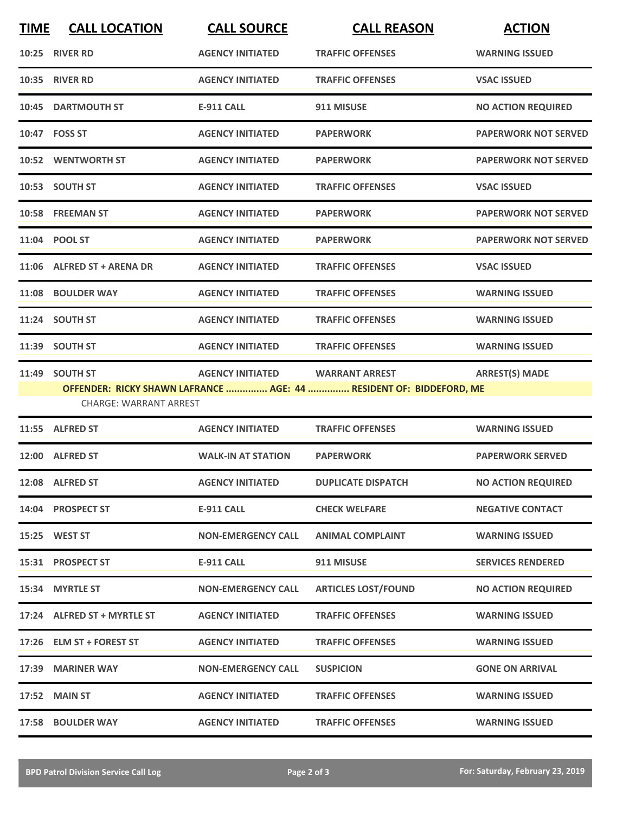| <b>TIME</b> | <b>CALL LOCATION</b>                            | <b>CALL SOURCE</b>        | <b>CALL REASON</b>                                                                           | <b>ACTION</b>               |
|-------------|-------------------------------------------------|---------------------------|----------------------------------------------------------------------------------------------|-----------------------------|
|             | 10:25 RIVER RD                                  | <b>AGENCY INITIATED</b>   | <b>TRAFFIC OFFENSES</b>                                                                      | <b>WARNING ISSUED</b>       |
| 10:35       | <b>RIVER RD</b>                                 | <b>AGENCY INITIATED</b>   | <b>TRAFFIC OFFENSES</b>                                                                      | <b>VSAC ISSUED</b>          |
|             | 10:45 DARTMOUTH ST                              | <b>E-911 CALL</b>         | 911 MISUSE                                                                                   | <b>NO ACTION REQUIRED</b>   |
|             | 10:47 FOSS ST                                   | <b>AGENCY INITIATED</b>   | <b>PAPERWORK</b>                                                                             | <b>PAPERWORK NOT SERVED</b> |
|             | 10:52 WENTWORTH ST                              | <b>AGENCY INITIATED</b>   | <b>PAPERWORK</b>                                                                             | <b>PAPERWORK NOT SERVED</b> |
|             | 10:53 SOUTH ST                                  | <b>AGENCY INITIATED</b>   | <b>TRAFFIC OFFENSES</b>                                                                      | <b>VSAC ISSUED</b>          |
|             | 10:58 FREEMAN ST                                | <b>AGENCY INITIATED</b>   | <b>PAPERWORK</b>                                                                             | <b>PAPERWORK NOT SERVED</b> |
|             | 11:04 POOL ST                                   | <b>AGENCY INITIATED</b>   | <b>PAPERWORK</b>                                                                             | <b>PAPERWORK NOT SERVED</b> |
|             | 11:06 ALFRED ST + ARENA DR                      | <b>AGENCY INITIATED</b>   | <b>TRAFFIC OFFENSES</b>                                                                      | <b>VSAC ISSUED</b>          |
|             | 11:08 BOULDER WAY                               | <b>AGENCY INITIATED</b>   | <b>TRAFFIC OFFENSES</b>                                                                      | <b>WARNING ISSUED</b>       |
|             | 11:24 SOUTH ST                                  | <b>AGENCY INITIATED</b>   | <b>TRAFFIC OFFENSES</b>                                                                      | <b>WARNING ISSUED</b>       |
|             | 11:39 SOUTH ST                                  | <b>AGENCY INITIATED</b>   | <b>TRAFFIC OFFENSES</b>                                                                      | <b>WARNING ISSUED</b>       |
|             | 11:49 SOUTH ST<br><b>CHARGE: WARRANT ARREST</b> | <b>AGENCY INITIATED</b>   | <b>WARRANT ARREST</b><br>OFFENDER: RICKY SHAWN LAFRANCE  AGE: 44  RESIDENT OF: BIDDEFORD, ME | <b>ARREST(S) MADE</b>       |
|             | 11:55 ALFRED ST                                 | <b>AGENCY INITIATED</b>   | <b>TRAFFIC OFFENSES</b>                                                                      | <b>WARNING ISSUED</b>       |
|             | 12:00 ALFRED ST                                 | <b>WALK-IN AT STATION</b> | <b>PAPERWORK</b>                                                                             | <b>PAPERWORK SERVED</b>     |
|             | 12:08 ALFRED ST                                 | <b>AGENCY INITIATED</b>   | <b>DUPLICATE DISPATCH</b>                                                                    | <b>NO ACTION REQUIRED</b>   |
|             | 14:04 PROSPECT ST                               | <b>E-911 CALL</b>         | <b>CHECK WELFARE</b>                                                                         | <b>NEGATIVE CONTACT</b>     |
|             | 15:25 WEST ST                                   | <b>NON-EMERGENCY CALL</b> | <b>ANIMAL COMPLAINT</b>                                                                      | <b>WARNING ISSUED</b>       |
|             | 15:31 PROSPECT ST                               | <b>E-911 CALL</b>         | 911 MISUSE                                                                                   | <b>SERVICES RENDERED</b>    |
|             | 15:34 MYRTLE ST                                 | <b>NON-EMERGENCY CALL</b> | <b>ARTICLES LOST/FOUND</b>                                                                   | <b>NO ACTION REQUIRED</b>   |
|             | 17:24 ALFRED ST + MYRTLE ST                     | <b>AGENCY INITIATED</b>   | <b>TRAFFIC OFFENSES</b>                                                                      | <b>WARNING ISSUED</b>       |
|             | 17:26 ELM ST + FOREST ST                        | <b>AGENCY INITIATED</b>   | <b>TRAFFIC OFFENSES</b>                                                                      | <b>WARNING ISSUED</b>       |
|             | 17:39 MARINER WAY                               | <b>NON-EMERGENCY CALL</b> | <b>SUSPICION</b>                                                                             | <b>GONE ON ARRIVAL</b>      |
|             | <b>17:52 MAIN ST</b>                            | <b>AGENCY INITIATED</b>   | <b>TRAFFIC OFFENSES</b>                                                                      | <b>WARNING ISSUED</b>       |
|             | <b>17:58 BOULDER WAY</b>                        | <b>AGENCY INITIATED</b>   | <b>TRAFFIC OFFENSES</b>                                                                      | <b>WARNING ISSUED</b>       |